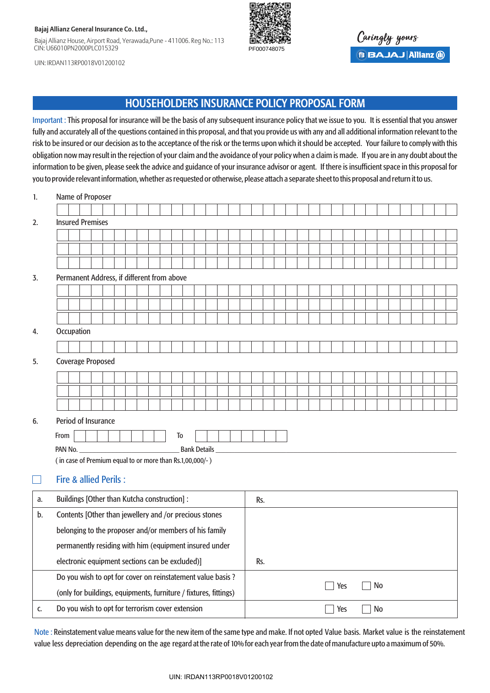#### **Bajaj Allianz General Insurance Co. Ltd.,**

Bajaj Allianz House, Airport Road, Yerawada,Pune - 411006. Reg No.: 113 CIN: U66010PN2000PLC015329



Caringly yours **BBAJAJ Allianz (ii)** 

UIN: IRDAN113RP0018V01200102

# HOUSEHOLDERS INSURANCE POLICY PROPOSAL FORM

Important : This proposal for insurance will be the basis of any subsequent insurance policy that we issue to you. It is essential that you answer fully and accurately all of the questions contained in this proposal, and that you provide us with any and all additional information relevant to the risk to be insured or our decision as to the acceptance of the risk or the terms upon which it should be accepted. Your failure to comply with this obligation now may result in the rejection of your claim and the avoidance of your policy when a claim is made. If you are in any doubt about the information to be given, please seek the advice and guidance of your insurance advisor or agent. If there is insufficient space in this proposal for you to provide relevant information, whether as requested or otherwise, please attach a separate sheet to this proposal and return it to us.

| 1. | Name of Proposer                                                                     |  |  |  |  |  |  |  |
|----|--------------------------------------------------------------------------------------|--|--|--|--|--|--|--|
|    |                                                                                      |  |  |  |  |  |  |  |
| 2. | <b>Insured Premises</b>                                                              |  |  |  |  |  |  |  |
|    |                                                                                      |  |  |  |  |  |  |  |
|    |                                                                                      |  |  |  |  |  |  |  |
|    |                                                                                      |  |  |  |  |  |  |  |
| 3. | Permanent Address, if different from above                                           |  |  |  |  |  |  |  |
|    |                                                                                      |  |  |  |  |  |  |  |
|    |                                                                                      |  |  |  |  |  |  |  |
|    |                                                                                      |  |  |  |  |  |  |  |
| 4. | Occupation                                                                           |  |  |  |  |  |  |  |
|    |                                                                                      |  |  |  |  |  |  |  |
| 5. | <b>Coverage Proposed</b>                                                             |  |  |  |  |  |  |  |
|    |                                                                                      |  |  |  |  |  |  |  |
|    |                                                                                      |  |  |  |  |  |  |  |
|    |                                                                                      |  |  |  |  |  |  |  |
| 6. | Period of Insurance                                                                  |  |  |  |  |  |  |  |
|    | From<br>To                                                                           |  |  |  |  |  |  |  |
|    | <b>Bank Details</b><br>PAN No.                                                       |  |  |  |  |  |  |  |
|    | (in case of Premium equal to or more than Rs.1,00,000/-)                             |  |  |  |  |  |  |  |
|    | <b>Fire &amp; allied Perils:</b>                                                     |  |  |  |  |  |  |  |
| a. | Buildings [Other than Kutcha construction] :<br>Rs.                                  |  |  |  |  |  |  |  |
| b. | Contents [Other than jewellery and /or precious stones                               |  |  |  |  |  |  |  |
|    | belonging to the proposer and/or members of his family                               |  |  |  |  |  |  |  |
|    | permanently residing with him (equipment insured under                               |  |  |  |  |  |  |  |
|    | electronic equipment sections can be excluded)]<br>Rs.                               |  |  |  |  |  |  |  |
|    | Do you wish to opt for cover on reinstatement value basis ?                          |  |  |  |  |  |  |  |
|    | <b>No</b><br>Yes<br>(only for buildings, equipments, furniture / fixtures, fittings) |  |  |  |  |  |  |  |
| c. | Do you wish to opt for terrorism cover extension<br>No<br>Yes                        |  |  |  |  |  |  |  |

Note : Reinstatement value means value for the new item of the same type and make. If not opted Value basis. Market value is the reinstatement value less depreciation depending on the age regard at the rate of 10% for each year from the date of manufacture upto a maximum of 50%.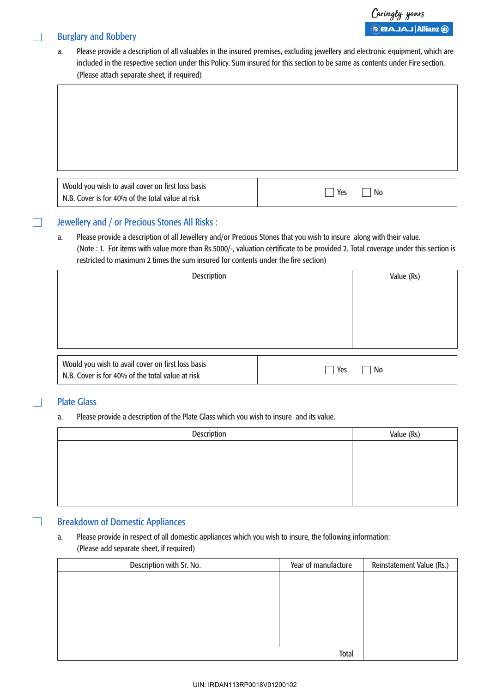# Burglary and Robbery

 $\Box$ 

 $\Box$ 

a. Please provide a description of all valuables in the insured premises, excluding jewellery and electronic equipment, which are included in the respective section under this Policy. Sum insured for this section to be same as contents under Fire section. (Please attach separate sheet, if required)

| Would you wish to avail cover on first loss basis | Yes |
|---------------------------------------------------|-----|
| N.B. Cover is for 40% of the total value at risk  | No  |

### Jewellery and / or Precious Stones All Risks :

a. Please provide a description of all Jewellery and/or Precious Stones that you wish to insure along with their value. (Note : 1. For items with value more than Rs.5000/-, valuation certificate to be provided 2. Total coverage under this section is restricted to maximum 2 times the sum insured for contents under the fire section)

| <b>Description</b>                                                                                    | Value (Rs) |    |
|-------------------------------------------------------------------------------------------------------|------------|----|
|                                                                                                       |            |    |
|                                                                                                       |            |    |
|                                                                                                       |            |    |
|                                                                                                       |            |    |
|                                                                                                       |            |    |
| Would you wish to avail cover on first loss basis<br>N.B. Cover is for 40% of the total value at risk | Yes        | No |

#### Plate Glass

 $\Box$ 

 $\Box$ 

#### a. Please provide a description of the Plate Glass which you wish to insure and its value.

| Description | Value (Rs) |
|-------------|------------|
|             |            |
|             |            |
|             |            |
|             |            |
|             |            |

## Breakdown of Domestic Appliances

## a. Please provide in respect of all domestic appliances which you wish to insure, the following information: (Please add separate sheet, if required)

| Description with Sr. No. | Year of manufacture | Reinstatement Value (Rs.) |
|--------------------------|---------------------|---------------------------|
|                          |                     |                           |
|                          |                     |                           |
|                          |                     |                           |
|                          |                     |                           |
|                          |                     |                           |
|                          |                     |                           |
|                          |                     |                           |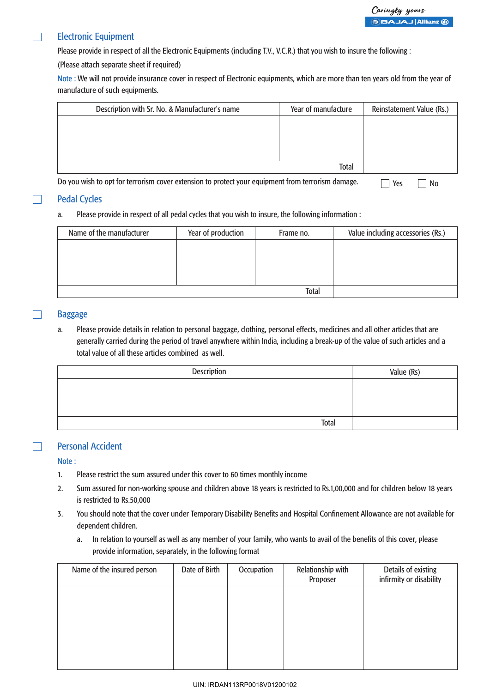#### Electronic Equipment  $\Box$

Please provide in respect of all the Electronic Equipments (including T.V., V.C.R.) that you wish to insure the following :

(Please attach separate sheet if required)

Note : We will not provide insurance cover in respect of Electronic equipments, which are more than ten years old from the year of manufacture of such equipments.

| Description with Sr. No. & Manufacturer's name                                                    | Year of manufacture | Reinstatement Value (Rs.) |
|---------------------------------------------------------------------------------------------------|---------------------|---------------------------|
|                                                                                                   |                     |                           |
|                                                                                                   |                     |                           |
|                                                                                                   |                     |                           |
|                                                                                                   |                     |                           |
|                                                                                                   | <b>Total</b>        |                           |
| Do you wish to opt for terrorism cover extension to protect your equipment from terrorism damage. |                     | Yes<br>No                 |

#### Pedal Cycles

 $\Box$ 

#### a. Please provide in respect of all pedal cycles that you wish to insure, the following information :

| Name of the manufacturer | Year of production | Frame no. | Value including accessories (Rs.) |
|--------------------------|--------------------|-----------|-----------------------------------|
|                          |                    |           |                                   |
|                          |                    |           |                                   |
|                          |                    |           |                                   |
|                          |                    |           |                                   |
| <b>Total</b>             |                    |           |                                   |

#### Baggage

a. Please provide details in relation to personal baggage, clothing, personal effects, medicines and all other articles that are generally carried during the period of travel anywhere within India, including a break-up of the value of such articles and a total value of all these articles combined as well.

| <b>Description</b> | Value (Rs) |
|--------------------|------------|
|                    |            |
|                    |            |
|                    |            |
| Total              |            |

#### Personal Accident

Note :

 $\Box$ 

- 1. Please restrict the sum assured under this cover to 60 times monthly income
- 2. Sum assured for non-working spouse and children above 18 years is restricted to Rs.1,00,000 and for children below 18 years is restricted to Rs.50,000
- 3. You should note that the cover under Temporary Disability Benefits and Hospital Confinement Allowance are not available for dependent children.
	- a. In relation to yourself as well as any member of your family, who wants to avail of the benefits of this cover, please provide information, separately, in the following format

| Name of the insured person | Date of Birth | Occupation | Relationship with<br>Proposer | Details of existing<br>infirmity or disability |
|----------------------------|---------------|------------|-------------------------------|------------------------------------------------|
|                            |               |            |                               |                                                |
|                            |               |            |                               |                                                |
|                            |               |            |                               |                                                |
|                            |               |            |                               |                                                |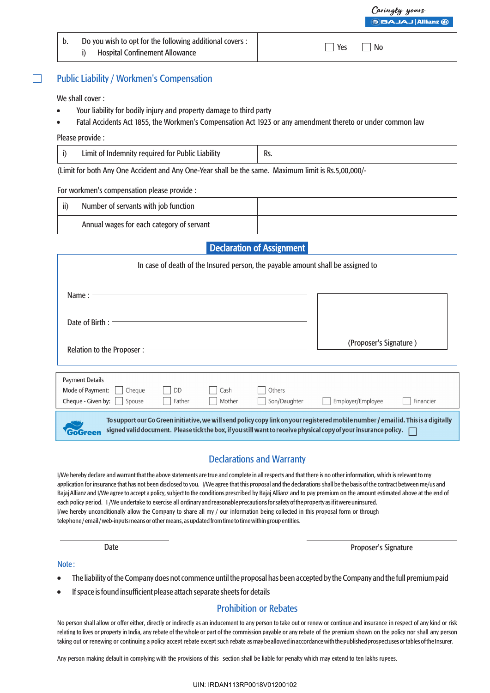#### Public Liability / Workmen's Compensation  $\Box$

We shall cover :

- Your liability for bodily injury and property damage to third party
- ! Fatal Accidents Act 1855, the Workmen's Compensation Act 1923 or any amendment thereto or under common law

#### Please provide :

| Limit of Indemnity required for Public Liability | Rs. |
|--------------------------------------------------|-----|
|--------------------------------------------------|-----|

(Limit for both Any One Accident and Any One-Year shall be the same. Maximum limit is Rs.5,00,000/-

#### For workmen's compensation please provide :

| ii) | Number of servants with job function      |  |
|-----|-------------------------------------------|--|
|     | Annual wages for each category of servant |  |

# Declaration of Assignment

| In case of death of the Insured person, the payable amount shall be assigned to                                                                                                                                                                        |           |        |              |                        |           |  |  |
|--------------------------------------------------------------------------------------------------------------------------------------------------------------------------------------------------------------------------------------------------------|-----------|--------|--------------|------------------------|-----------|--|--|
| Name:                                                                                                                                                                                                                                                  |           |        |              |                        |           |  |  |
| Date of Birth:                                                                                                                                                                                                                                         |           |        |              |                        |           |  |  |
| Relation to the Proposer:                                                                                                                                                                                                                              |           |        |              | (Proposer's Signature) |           |  |  |
| <b>Payment Details</b>                                                                                                                                                                                                                                 |           |        |              |                        |           |  |  |
| Mode of Payment:<br>Cheque                                                                                                                                                                                                                             | <b>DD</b> | Cash   | Others       |                        |           |  |  |
| Cheque - Given by:<br>Spouse                                                                                                                                                                                                                           | Father    | Mother | Son/Daughter | Employer/Employee      | Financier |  |  |
| To support our Go Green initiative, we will send policy copy link on your registered mobile number / email id. This is a digitally<br>signed valid document. Please tick the box, if you still want to receive physical copy of your insurance policy. |           |        |              |                        |           |  |  |

# Declarations and Warranty

I/We hereby declare and warrant that the above statements are true and complete in all respects and that there is no other information, which is relevant to my application for insurance that has not been disclosed to you. I/We agree that this proposal and the declarations shall be the basis of the contract between me/us and Bajaj Allianz and I/We agree to accept a policy, subject to the conditions prescribed by Bajaj Allianz and to pay premium on the amount estimated above at the end of each policy period. I /We undertake to exercise all ordinary and reasonable precautions for safety of the property as if it were uninsured. I/we hereby unconditionally allow the Company to share all my / our information being collected in this proposal form or through telephone / email / web-inputs means or other means, as updated from time to time within group entities.

Date Proposer's Signature

#### Note :

- ! The liability of the Company does not commence until the proposal has been accepted by the Company and the full premium paid
- ! If space is found insufficient please attach separate sheets for details

# Prohibition or Rebates

No person shall allow or offer either, directly or indirectly as an inducement to any person to take out or renew or continue and insurance in respect of any kind or risk relating to lives or property in India, any rebate of the whole or part of the commission payable or any rebate of the premium shown on the policy nor shall any person taking out or renewing or continuing a policy accept rebate except such rebate as may be allowed in accordance with the published prospectuses or tables of the Insurer.

Any person making default in complying with the provisions of this section shall be liable for penalty which may extend to ten lakhs rupees.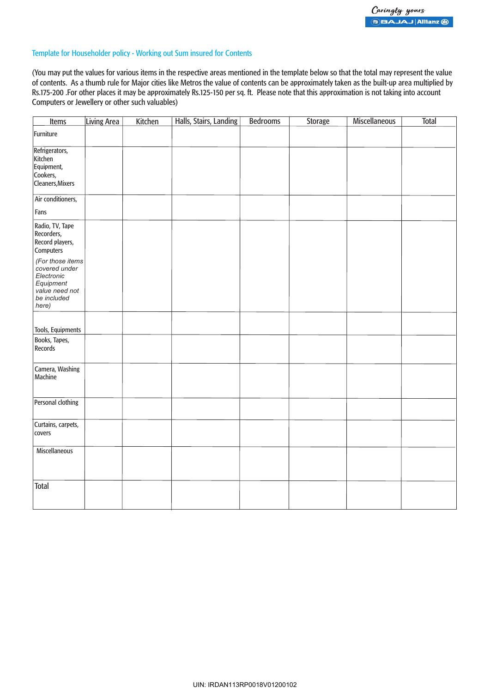#### Template for Householder policy - Working out Sum insured for Contents

(You may put the values for various items in the respective areas mentioned in the template below so that the total may represent the value of contents. As a thumb rule for Major cities like Metros the value of contents can be approximately taken as the built-up area multiplied by Rs.175-200 .For other places it may be approximately Rs.125-150 per sq. ft. Please note that this approximation is not taking into account Computers or Jewellery or other such valuables)

| <b>Items</b>                                                                                           | Living Area | Kitchen | Halls, Stairs, Landing | <b>Bedrooms</b> | Storage | <b>Miscellaneous</b> | <b>Total</b> |
|--------------------------------------------------------------------------------------------------------|-------------|---------|------------------------|-----------------|---------|----------------------|--------------|
| Furniture                                                                                              |             |         |                        |                 |         |                      |              |
| Refrigerators,<br>Kitchen<br>Equipment,<br>Cookers,<br>Cleaners, Mixers                                |             |         |                        |                 |         |                      |              |
| Air conditioners,                                                                                      |             |         |                        |                 |         |                      |              |
| Fans                                                                                                   |             |         |                        |                 |         |                      |              |
| Radio, TV, Tape<br>Recorders,<br>Record players,<br>Computers                                          |             |         |                        |                 |         |                      |              |
| (For those items<br>covered under<br>Electronic<br>Equipment<br>value need not<br>be included<br>here) |             |         |                        |                 |         |                      |              |
| Tools, Equipments                                                                                      |             |         |                        |                 |         |                      |              |
| Books, Tapes,<br>Records                                                                               |             |         |                        |                 |         |                      |              |
| Camera, Washing<br>Machine                                                                             |             |         |                        |                 |         |                      |              |
| Personal clothing                                                                                      |             |         |                        |                 |         |                      |              |
| Curtains, carpets,<br>covers                                                                           |             |         |                        |                 |         |                      |              |
| Miscellaneous                                                                                          |             |         |                        |                 |         |                      |              |
| <b>Total</b>                                                                                           |             |         |                        |                 |         |                      |              |